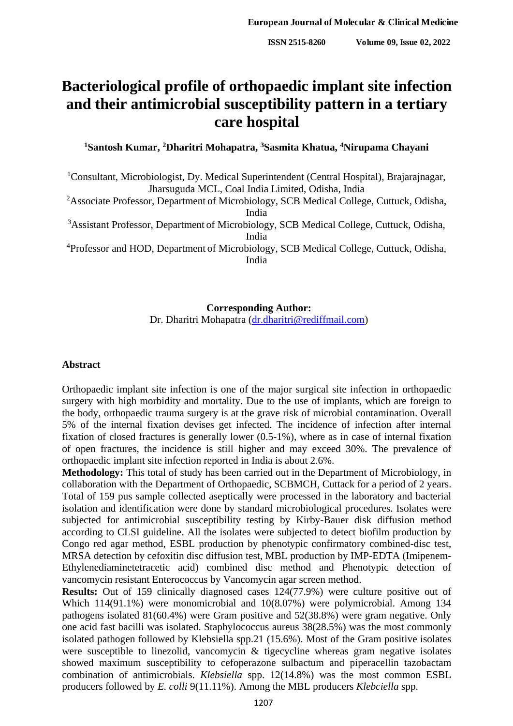# **Bacteriological profile of orthopaedic implant site infection and their antimicrobial susceptibility pattern in a tertiary care hospital**

**<sup>1</sup>Santosh Kumar, <sup>2</sup>Dharitri Mohapatra, <sup>3</sup>Sasmita Khatua, <sup>4</sup>Nirupama Chayani**

<sup>1</sup>Consultant, Microbiologist, Dy. Medical Superintendent (Central Hospital), Brajarajnagar, Jharsuguda MCL, Coal India Limited, Odisha, India

<sup>2</sup>Associate Professor, Department of Microbiology, SCB Medical College, Cuttuck, Odisha, India

<sup>3</sup>Assistant Professor, Department of Microbiology, SCB Medical College, Cuttuck, Odisha, India

<sup>4</sup>Professor and HOD, Department of Microbiology, SCB Medical College, Cuttuck, Odisha, India

#### **Corresponding Author:**

Dr. Dharitri Mohapatra [\(dr.dharitri@rediffmail.com\)](mailto:dr.dharitri@rediffmail.com)

#### **Abstract**

Orthopaedic implant site infection is one of the major surgical site infection in orthopaedic surgery with high morbidity and mortality. Due to the use of implants, which are foreign to the body, orthopaedic trauma surgery is at the grave risk of microbial contamination. Overall 5% of the internal fixation devises get infected. The incidence of infection after internal fixation of closed fractures is generally lower (0.5-1%), where as in case of internal fixation of open fractures, the incidence is still higher and may exceed 30%. The prevalence of orthopaedic implant site infection reported in India is about 2.6%.

**Methodology:** This total of study has been carried out in the Department of Microbiology, in collaboration with the Department of Orthopaedic, SCBMCH, Cuttack for a period of 2 years. Total of 159 pus sample collected aseptically were processed in the laboratory and bacterial isolation and identification were done by standard microbiological procedures. Isolates were subjected for antimicrobial susceptibility testing by Kirby-Bauer disk diffusion method according to CLSI guideline. All the isolates were subjected to detect biofilm production by Congo red agar method, ESBL production by phenotypic confirmatory combined-disc test, MRSA detection by cefoxitin disc diffusion test, MBL production by IMP-EDTA (Imipenem-Ethylenediaminetetracetic acid) combined disc method and Phenotypic detection of vancomycin resistant Enterococcus by Vancomycin agar screen method.

**Results:** Out of 159 clinically diagnosed cases 124(77.9%) were culture positive out of Which 114(91.1%) were monomicrobial and 10(8.07%) were polymicrobial. Among 134 pathogens isolated 81(60.4%) were Gram positive and 52(38.8%) were gram negative. Only one acid fast bacilli was isolated. Staphylococcus aureus 38(28.5%) was the most commonly isolated pathogen followed by Klebsiella spp.21 (15.6%). Most of the Gram positive isolates were susceptible to linezolid, vancomycin & tigecycline whereas gram negative isolates showed maximum susceptibility to cefoperazone sulbactum and piperacellin tazobactam combination of antimicrobials. *Klebsiella* spp. 12(14.8%) was the most common ESBL producers followed by *E. colli* 9(11.11%). Among the MBL producers *Klebciella* spp.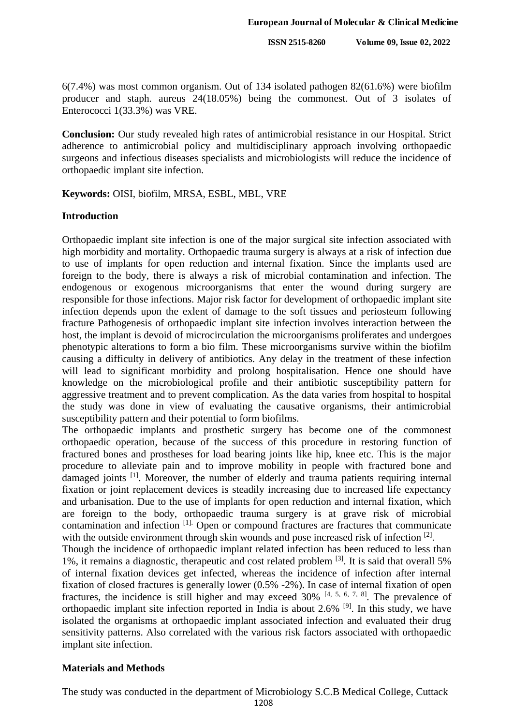6(7.4%) was most common organism. Out of 134 isolated pathogen 82(61.6%) were biofilm producer and staph. aureus 24(18.05%) being the commonest. Out of 3 isolates of Enterococci 1(33.3%) was VRE.

**Conclusion:** Our study revealed high rates of antimicrobial resistance in our Hospital. Strict adherence to antimicrobial policy and multidisciplinary approach involving orthopaedic surgeons and infectious diseases specialists and microbiologists will reduce the incidence of orthopaedic implant site infection.

**Keywords:** OISI, biofilm, MRSA, ESBL, MBL, VRE

#### **Introduction**

Orthopaedic implant site infection is one of the major surgical site infection associated with high morbidity and mortality. Orthopaedic trauma surgery is always at a risk of infection due to use of implants for open reduction and internal fixation. Since the implants used are foreign to the body, there is always a risk of microbial contamination and infection. The endogenous or exogenous microorganisms that enter the wound during surgery are responsible for those infections. Major risk factor for development of orthopaedic implant site infection depends upon the exlent of damage to the soft tissues and periosteum following fracture Pathogenesis of orthopaedic implant site infection involves interaction between the host, the implant is devoid of microcirculation the microorganisms proliferates and undergoes phenotypic alterations to form a bio film. These microorganisms survive within the biofilm causing a difficulty in delivery of antibiotics. Any delay in the treatment of these infection will lead to significant morbidity and prolong hospitalisation. Hence one should have knowledge on the microbiological profile and their antibiotic susceptibility pattern for aggressive treatment and to prevent complication. As the data varies from hospital to hospital the study was done in view of evaluating the causative organisms, their antimicrobial susceptibility pattern and their potential to form biofilms.

The orthopaedic implants and prosthetic surgery has become one of the commonest orthopaedic operation, because of the success of this procedure in restoring function of fractured bones and prostheses for load bearing joints like hip, knee etc. This is the major procedure to alleviate pain and to improve mobility in people with fractured bone and damaged joints [1]. Moreover, the number of elderly and trauma patients requiring internal fixation or joint replacement devices is steadily increasing due to increased life expectancy and urbanisation. Due to the use of implants for open reduction and internal fixation, which are foreign to the body, orthopaedic trauma surgery is at grave risk of microbial contamination and infection [1]. Open or compound fractures are fractures that communicate with the outside environment through skin wounds and pose increased risk of infection [2].

Though the incidence of orthopaedic implant related infection has been reduced to less than 1%, it remains a diagnostic, therapeutic and cost related problem [3]. It is said that overall 5% of internal fixation devices get infected, whereas the incidence of infection after internal fixation of closed fractures is generally lower (0.5% -2%). In case of internal fixation of open fractures, the incidence is still higher and may exceed  $30\%$  [4, 5, 6, 7, 8]. The prevalence of orthopaedic implant site infection reported in India is about 2.6% [9]. In this study, we have isolated the organisms at orthopaedic implant associated infection and evaluated their drug sensitivity patterns. Also correlated with the various risk factors associated with orthopaedic implant site infection.

### **Materials and Methods**

The study was conducted in the department of Microbiology S.C.B Medical College, Cuttack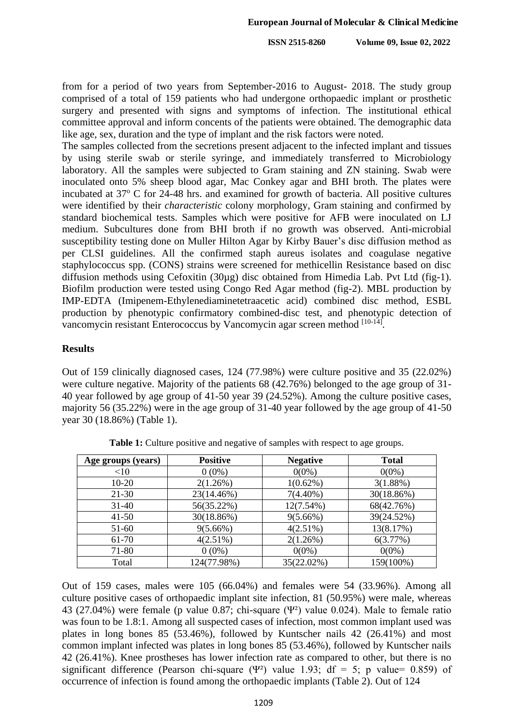from for a period of two years from September-2016 to August- 2018. The study group comprised of a total of 159 patients who had undergone orthopaedic implant or prosthetic surgery and presented with signs and symptoms of infection. The institutional ethical committee approval and inform concents of the patients were obtained. The demographic data like age, sex, duration and the type of implant and the risk factors were noted.

The samples collected from the secretions present adjacent to the infected implant and tissues by using sterile swab or sterile syringe, and immediately transferred to Microbiology laboratory. All the samples were subjected to Gram staining and ZN staining. Swab were inoculated onto 5% sheep blood agar, Mac Conkey agar and BHI broth. The plates were incubated at  $37^{\circ}$  C for 24-48 hrs. and examined for growth of bacteria. All positive cultures were identified by their *characteristic* colony morphology, Gram staining and confirmed by standard biochemical tests. Samples which were positive for AFB were inoculated on LJ medium. Subcultures done from BHI broth if no growth was observed. Anti-microbial susceptibility testing done on Muller Hilton Agar by Kirby Bauer's disc diffusion method as per CLSI guidelines. All the confirmed staph aureus isolates and coagulase negative staphylococcus spp. (CONS) strains were screened for methicellin Resistance based on disc diffusion methods using Cefoxitin (30µg) disc obtained from Himedia Lab. Pvt Ltd (fig-1). Biofilm production were tested using Congo Red Agar method (fig-2). MBL production by IMP-EDTA (Imipenem-Ethylenediaminetetraacetic acid) combined disc method, ESBL production by phenotypic confirmatory combined-disc test, and phenotypic detection of vancomycin resistant Enterococcus by Vancomycin agar screen method [10-14].

#### **Results**

Out of 159 clinically diagnosed cases, 124 (77.98%) were culture positive and 35 (22.02%) were culture negative. Majority of the patients 68 (42.76%) belonged to the age group of 31- 40 year followed by age group of 41-50 year 39 (24.52%). Among the culture positive cases, majority 56 (35.22%) were in the age group of 31-40 year followed by the age group of 41-50 year 30 (18.86%) (Table 1).

| Age groups (years) | <b>Positive</b> | <b>Negative</b> | <b>Total</b> |
|--------------------|-----------------|-----------------|--------------|
| <10                | $0(0\%)$        | $0(0\%)$        | $0(0\%)$     |
| $10 - 20$          | 2(1.26%)        | $1(0.62\%)$     | 3(1.88%)     |
| $21 - 30$          | 23(14.46%)      | $7(4.40\%)$     | 30(18.86%)   |
| $31 - 40$          | 56(35.22%)      | $12(7.54\%)$    | 68(42.76%)   |
| $41 - 50$          | 30(18.86%)      | $9(5.66\%)$     | 39(24.52%)   |
| 51-60              | $9(5.66\%)$     | $4(2.51\%)$     | 13(8.17%)    |
| 61-70              | $4(2.51\%)$     | 2(1.26%)        | 6(3.77%)     |
| 71-80              | $0(0\%)$        | $0(0\%)$        | $0(0\%)$     |
| Total              | 124(77.98%)     | 35(22.02%)      | 159(100%)    |

**Table 1:** Culture positive and negative of samples with respect to age groups.

Out of 159 cases, males were 105 (66.04%) and females were 54 (33.96%). Among all culture positive cases of orthopaedic implant site infection, 81 (50.95%) were male, whereas 43 (27.04%) were female (p value 0.87; chi-square (Ψ²) value 0.024). Male to female ratio was foun to be 1.8:1. Among all suspected cases of infection, most common implant used was plates in long bones 85 (53.46%), followed by Kuntscher nails 42 (26.41%) and most common implant infected was plates in long bones 85 (53.46%), followed by Kuntscher nails 42 (26.41%). Knee prostheses has lower infection rate as compared to other, but there is no significant difference (Pearson chi-square (Ψ<sup>2</sup>) value 1.93; df = 5; p value= 0.859) of occurrence of infection is found among the orthopaedic implants (Table 2). Out of 124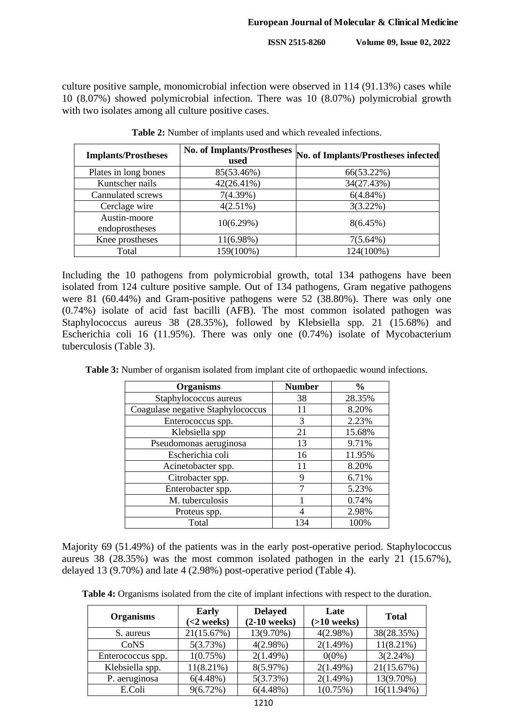culture positive sample, monomicrobial infection were observed in 114 (91.13%) cases while 10 (8.07%) showed polymicrobial infection. There was 10 (8.07%) polymicrobial growth with two isolates among all culture positive cases.

| <b>Implants/Prostheses</b>     | <b>No. of Implants/Prostheses</b><br>used | No. of Implants/Prostheses infected |
|--------------------------------|-------------------------------------------|-------------------------------------|
| Plates in long bones           | 85(53.46%)                                | 66(53.22%)                          |
| Kuntscher nails                | $42(26.41\%)$                             | 34(27.43%)                          |
| Cannulated screws              | 7(4.39%)                                  | $6(4.84\%)$                         |
| Cerclage wire                  | $4(2.51\%)$                               | $3(3.22\%)$                         |
| Austin-moore<br>endoprostheses | 10(6.29%)                                 | $8(6.45\%)$                         |
| Knee prostheses                | $11(6.98\%)$                              | $7(5.64\%)$                         |
| Total                          | 159(100%)                                 | 124(100%)                           |

**Table 2:** Number of implants used and which revealed infections.

Including the 10 pathogens from polymicrobial growth, total 134 pathogens have been isolated from 124 culture positive sample. Out of 134 pathogens, Gram negative pathogens were 81 (60.44%) and Gram-positive pathogens were 52 (38.80%). There was only one (0.74%) isolate of acid fast bacilli (AFB). The most common isolated pathogen was Staphylococcus aureus 38 (28.35%), followed by Klebsiella spp. 21 (15.68%) and Escherichia coli 16 (11.95%). There was only one (0.74%) isolate of Mycobacterium tuberculosis (Table 3).

**Table 3:** Number of organism isolated from implant cite of orthopaedic wound infections.

| <b>Organisms</b>                  | <b>Number</b> | $\frac{6}{9}$ |
|-----------------------------------|---------------|---------------|
| Staphylococcus aureus             | 38            | 28.35%        |
| Coagulase negative Staphylococcus | 11            | 8.20%         |
| Enterococcus spp.                 | 3             | 2.23%         |
| Klebsiella spp                    | 21            | 15.68%        |
| Pseudomonas aeruginosa            | 13            | 9.71%         |
| Escherichia coli                  | 16            | 11.95%        |
| Acinetobacter spp.                | 11            | 8.20%         |
| Citrobacter spp.                  | 9             | 6.71%         |
| Enterobacter spp.                 | 7             | 5.23%         |
| M. tuberculosis                   |               | 0.74%         |
| Proteus spp.                      |               | 2.98%         |
| Total                             | 134           | 100%          |

Majority 69 (51.49%) of the patients was in the early post-operative period. Staphylococcus aureus 38 (28.35%) was the most common isolated pathogen in the early 21 (15.67%), delayed 13 (9.70%) and late 4 (2.98%) post-operative period (Table 4).

**Table 4:** Organisms isolated from the cite of implant infections with respect to the duration.

| <b>Organisms</b>  | <b>Early</b><br>$(<2$ weeks) | <b>Delayed</b><br>$(2-10$ weeks) | Late<br>$( >10$ weeks) | <b>Total</b>  |
|-------------------|------------------------------|----------------------------------|------------------------|---------------|
| S. aureus         | 21(15.67%)                   | 13(9.70%)                        | $4(2.98\%)$            | 38(28.35%)    |
| CoNS              | 5(3.73%)                     | $4(2.98\%)$                      | 2(1.49%)               | $11(8.21\%)$  |
| Enterococcus spp. | 1(0.75%)                     | 2(1.49%)                         | $0(0\%)$               | 3(2.24%)      |
| Klebsiella spp.   | $11(8.21\%)$                 | 8(5.97%)                         | 2(1.49%)               | 21(15.67%)    |
| P. aeruginosa     | $6(4.48\%)$                  | 5(3.73%)                         | 2(1.49%)               | 13(9.70%)     |
| E.Coli            | 9(6.72%)                     | $6(4.48\%)$                      | 1(0.75%)               | $16(11.94\%)$ |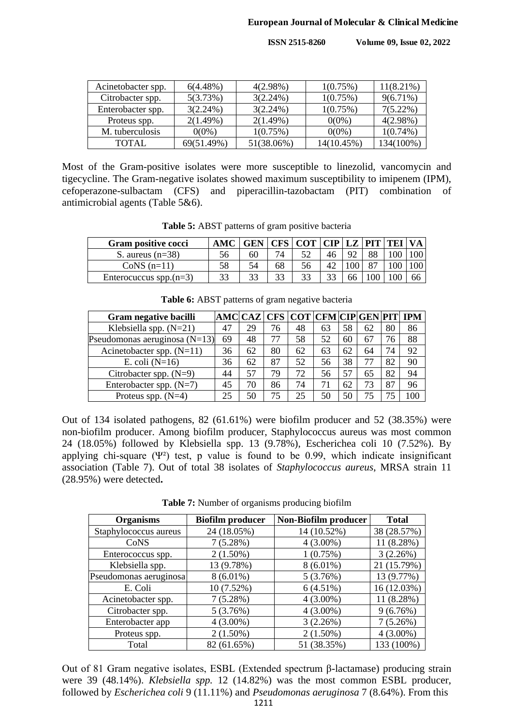| Acinetobacter spp. | $6(4.48\%)$ | $4(2.98\%)$ | 1(0.75%)   | $11(8.21\%)$ |
|--------------------|-------------|-------------|------------|--------------|
| Citrobacter spp.   | 5(3.73%)    | $3(2.24\%)$ | 1(0.75%)   | $9(6.71\%)$  |
| Enterobacter spp.  | $3(2.24\%)$ | $3(2.24\%)$ | 1(0.75%)   | $7(5.22\%)$  |
| Proteus spp.       | 2(1.49%)    | 2(1.49%)    | $0(0\%)$   | $4(2.98\%)$  |
| M. tuberculosis    | $0(0\%)$    | 1(0.75%)    | $0(0\%)$   | $1(0.74\%)$  |
| TOTAL              | 69(51.49%)  | 51(38.06%)  | 14(10.45%) | 134(100%)    |

Most of the Gram-positive isolates were more susceptible to linezolid, vancomycin and tigecycline. The Gram-negative isolates showed maximum susceptibility to imipenem (IPM), cefoperazone-sulbactam (CFS) and piperacillin-tazobactam (PIT) combination of antimicrobial agents (Table 5&6).

**Table 5:** ABST patterns of gram positive bacteria

| Gram positive cocci       | AM |    |    | COT   CIP |    |          | $LZ$ PIT TEJ |    |
|---------------------------|----|----|----|-----------|----|----------|--------------|----|
| S. aureus $(n=38)$        | 56 | 60 |    |           | 46 | $\Omega$ |              |    |
| CoNS $(n=11)$             | 58 | 54 | 68 | 56        | 42 |          |              |    |
| Enterocuccus spp. $(n=3)$ | 33 |    | 22 | 33        | 33 | 66       |              | oo |

| Gram negative bacilli             |    |    |    |    | AMC  CAZ   CFS    COT    CFM    CIP    GEN    PIT    IPM |    |    |    |     |
|-----------------------------------|----|----|----|----|----------------------------------------------------------|----|----|----|-----|
| Klebsiella spp. $(N=21)$          | 47 | 29 | 76 | 48 | 63                                                       | 58 | 62 | 80 | 86  |
| Pseudomonas aeruginosa ( $N=13$ ) | 69 | 48 | 77 | 58 | 52                                                       | 60 | 67 | 76 | 88  |
| Acinetobacter spp. $(N=11)$       | 36 | 62 | 80 | 62 | 63                                                       | 62 | 64 | 74 | 92  |
| E. coli $(N=16)$                  | 36 | 62 | 87 | 52 | 56                                                       | 38 | 77 | 82 | 90  |
| Citrobacter spp. $(N=9)$          | 44 | 57 | 79 | 72 | 56                                                       | 57 | 65 | 82 | 94  |
| Enterobacter spp. $(N=7)$         | 45 | 70 | 86 | 74 | 71                                                       | 62 | 73 | 87 | 96  |
| Proteus spp. $(N=4)$              | 25 | 50 | 75 | 25 | 50                                                       | 50 | 75 |    | .00 |

Table 6: ABST patterns of gram negative bacteria

Out of 134 isolated pathogens, 82 (61.61%) were biofilm producer and 52 (38.35%) were non-biofilm producer. Among biofilm producer, Staphylococcus aureus was most common 24 (18.05%) followed by Klebsiella spp. 13 (9.78%), Escherichea coli 10 (7.52%). By applying chi-square  $(\Psi^2)$  test, p value is found to be 0.99, which indicate insignificant association (Table 7). Out of total 38 isolates of *Staphylococcus aureus*, MRSA strain 11 (28.95%) were detected**.**

**Table 7:** Number of organisms producing biofilm

| <b>Organisms</b>       | <b>Biofilm producer</b> | Non-Biofilm producer | <b>Total</b> |
|------------------------|-------------------------|----------------------|--------------|
| Staphylococcus aureus  | 24 (18.05%)             | 14 (10.52%)          | 38 (28.57%)  |
| CoNS                   | 7(5.28%)                | $4(3.00\%)$          | 11 (8.28%)   |
| Enterococcus spp.      | $2(1.50\%)$             | 1(0.75%)             | 3(2.26%)     |
| Klebsiella spp.        | 13 (9.78%)              | $8(6.01\%)$          | 21 (15.79%)  |
| Pseudomonas aeruginosa | $8(6.01\%)$             | 5(3.76%)             | 13 (9.77%)   |
| E. Coli                | 10 (7.52%)              | 6(4.51%)             | 16 (12.03%)  |
| Acinetobacter spp.     | 7(5.28%)                | $4(3.00\%)$          | 11 (8.28%)   |
| Citrobacter spp.       | 5(3.76%)                | $4(3.00\%)$          | 9(6.76%)     |
| Enterobacter app       | $4(3.00\%)$             | 3(2.26%)             | 7(5.26%)     |
| Proteus spp.           | $2(1.50\%)$             | $2(1.50\%)$          | $4(3.00\%)$  |
| Total                  | 82 (61.65%)             | 51 (38.35%)          | 133 (100%)   |

Out of 81 Gram negative isolates, ESBL (Extended spectrum β-lactamase) producing strain were 39 (48.14%). *Klebsiella spp.* 12 (14.82%) was the most common ESBL producer, followed by *Escherichea coli* 9 (11.11%) and *Pseudomonas aeruginosa* 7 (8.64%). From this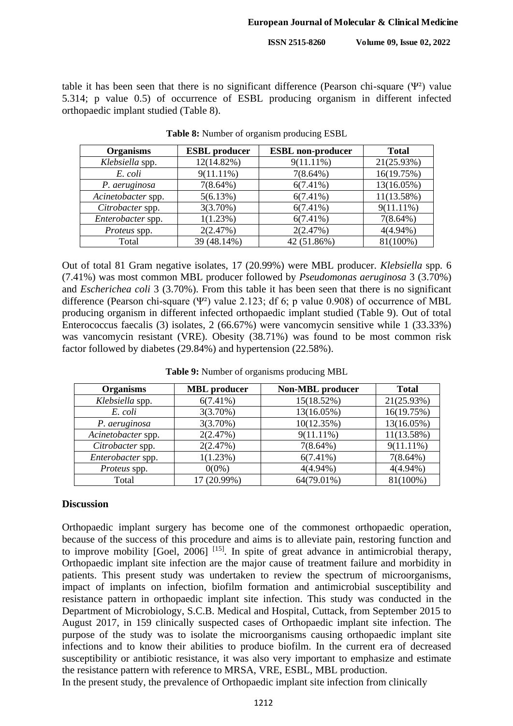table it has been seen that there is no significant difference (Pearson chi-square  $(\Psi^2)$  value 5.314; p value 0.5) of occurrence of ESBL producing organism in different infected orthopaedic implant studied (Table 8).

| <b>Organisms</b>   | <b>ESBL</b> producer | <b>ESBL</b> non-producer | <b>Total</b> |
|--------------------|----------------------|--------------------------|--------------|
| Klebsiella spp.    | 12(14.82%)           | $9(11.11\%)$             | 21(25.93%)   |
| E. coli            | $9(11.11\%)$         | $7(8.64\%)$              | 16(19.75%)   |
| P. aeruginosa      | $7(8.64\%)$          | $6(7.41\%)$              | 13(16.05%)   |
| Acinetobacter spp. | 5(6.13%)             | $6(7.41\%)$              | 11(13.58%)   |
| Citrobacter spp.   | 3(3.70%)             | $6(7.41\%)$              | $9(11.11\%)$ |
| Enterobacter spp.  | 1(1.23%)             | $6(7.41\%)$              | $7(8.64\%)$  |
| Proteus spp.       | 2(2.47%)             | 2(2.47%)                 | $4(4.94\%)$  |
| Total              | 39 (48.14%)          | 42 (51.86%)              | 81(100%)     |

**Table 8:** Number of organism producing ESBL

Out of total 81 Gram negative isolates, 17 (20.99%) were MBL producer. *Klebsiella* spp*.* 6 (7.41%) was most common MBL producer followed by *Pseudomonas aeruginosa* 3 (3.70%) and *Escherichea coli* 3 (3.70%). From this table it has been seen that there is no significant difference (Pearson chi-square (Ψ²) value 2.123; df 6; p value 0.908) of occurrence of MBL producing organism in different infected orthopaedic implant studied (Table 9). Out of total Enterococcus faecalis (3) isolates, 2 (66.67%) were vancomycin sensitive while 1 (33.33%) was vancomycin resistant (VRE). Obesity (38.71%) was found to be most common risk factor followed by diabetes (29.84%) and hypertension (22.58%).

| <b>Organisms</b>   | <b>MBL</b> producer | <b>Non-MBL</b> producer | <b>Total</b> |
|--------------------|---------------------|-------------------------|--------------|
| Klebsiella spp.    | $6(7.41\%)$         | 15(18.52%)              | 21(25.93%)   |
| E. coli            | 3(3.70%)            | 13(16.05%)              | 16(19.75%)   |
| P. aeruginosa      | 3(3.70%)            | 10(12.35%)              | 13(16.05%)   |
| Acinetobacter spp. | 2(2.47%)            | $9(11.11\%)$            | 11(13.58%)   |
| Citrobacter spp.   | 2(2.47%)            | $7(8.64\%)$             | $9(11.11\%)$ |
| Enterobacter spp.  | 1(1.23%)            | $6(7.41\%)$             | $7(8.64\%)$  |
| Proteus spp.       | $0(0\%)$            | $4(4.94\%)$             | $4(4.94\%)$  |
| Total              | $(20.99\%)$         | 64(79.01%)              | 81(100%)     |

**Table 9:** Number of organisms producing MBL

## **Discussion**

Orthopaedic implant surgery has become one of the commonest orthopaedic operation, because of the success of this procedure and aims is to alleviate pain, restoring function and to improve mobility  $[Goe], 2006]$ <sup>[15]</sup>. In spite of great advance in antimicrobial therapy, Orthopaedic implant site infection are the major cause of treatment failure and morbidity in patients. This present study was undertaken to review the spectrum of microorganisms, impact of implants on infection, biofilm formation and antimicrobial susceptibility and resistance pattern in orthopaedic implant site infection. This study was conducted in the Department of Microbiology, S.C.B. Medical and Hospital, Cuttack, from September 2015 to August 2017, in 159 clinically suspected cases of Orthopaedic implant site infection. The purpose of the study was to isolate the microorganisms causing orthopaedic implant site infections and to know their abilities to produce biofilm. In the current era of decreased susceptibility or antibiotic resistance, it was also very important to emphasize and estimate the resistance pattern with reference to MRSA, VRE, ESBL, MBL production.

In the present study, the prevalence of Orthopaedic implant site infection from clinically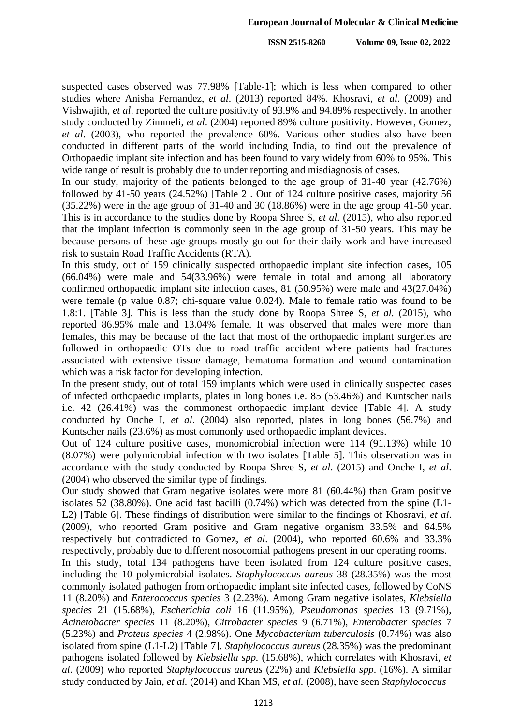suspected cases observed was 77.98% [Table-1]; which is less when compared to other studies where Anisha Fernandez, *et al*. (2013) reported 84%. Khosravi, *et al*. (2009) and Vishwajith, *et al*. reported the culture positivity of 93.9% and 94.89% respectively. In another study conducted by Zimmeli, *et al*. (2004) reported 89% culture positivity. However, Gomez, *et al*. (2003), who reported the prevalence 60%. Various other studies also have been conducted in different parts of the world including India, to find out the prevalence of Orthopaedic implant site infection and has been found to vary widely from 60% to 95%. This wide range of result is probably due to under reporting and misdiagnosis of cases.

In our study, majority of the patients belonged to the age group of 31-40 year (42.76%) followed by 41-50 years (24.52%) [Table 2]. Out of 124 culture positive cases, majority 56  $(35.22%)$  were in the age group of 31-40 and 30 (18.86%) were in the age group 41-50 year. This is in accordance to the studies done by Roopa Shree S, *et al*. (2015), who also reported that the implant infection is commonly seen in the age group of 31-50 years. This may be because persons of these age groups mostly go out for their daily work and have increased risk to sustain Road Traffic Accidents (RTA).

In this study, out of 159 clinically suspected orthopaedic implant site infection cases, 105 (66.04%) were male and 54(33.96%) were female in total and among all laboratory confirmed orthopaedic implant site infection cases, 81 (50.95%) were male and 43(27.04%) were female (p value 0.87; chi-square value 0.024). Male to female ratio was found to be 1.8:1. [Table 3]. This is less than the study done by Roopa Shree S, *et al.* (2015), who reported 86.95% male and 13.04% female. It was observed that males were more than females, this may be because of the fact that most of the orthopaedic implant surgeries are followed in orthopaedic OTs due to road traffic accident where patients had fractures associated with extensive tissue damage, hematoma formation and wound contamination which was a risk factor for developing infection.

In the present study, out of total 159 implants which were used in clinically suspected cases of infected orthopaedic implants, plates in long bones i.e. 85 (53.46%) and Kuntscher nails i.e. 42 (26.41%) was the commonest orthopaedic implant device [Table 4]. A study conducted by Onche I, *et al*. (2004) also reported, plates in long bones (56.7%) and Kuntscher nails (23.6%) as most commonly used orthopaedic implant devices.

Out of 124 culture positive cases, monomicrobial infection were 114 (91.13%) while 10 (8.07%) were polymicrobial infection with two isolates [Table 5]. This observation was in accordance with the study conducted by Roopa Shree S, *et al*. (2015) and Onche I, *et al*. (2004) who observed the similar type of findings.

Our study showed that Gram negative isolates were more 81 (60.44%) than Gram positive isolates 52 (38.80%). One acid fast bacilli (0.74%) which was detected from the spine (L1- L2) [Table 6]. These findings of distribution were similar to the findings of Khosravi, *et al*. (2009), who reported Gram positive and Gram negative organism 33.5% and 64.5% respectively but contradicted to Gomez, *et al*. (2004), who reported 60.6% and 33.3% respectively, probably due to different nosocomial pathogens present in our operating rooms.

In this study, total 134 pathogens have been isolated from 124 culture positive cases, including the 10 polymicrobial isolates. *Staphylococcus aureus* 38 (28.35%) was the most commonly isolated pathogen from orthopaedic implant site infected cases, followed by CoNS 11 (8.20%) and *Enterococcus species* 3 (2.23%). Among Gram negative isolates, *Klebsiella species* 21 (15.68%), *Escherichia coli* 16 (11.95%), *Pseudomonas species* 13 (9.71%), *Acinetobacter species* 11 (8.20%), *Citrobacter species* 9 (6.71%), *Enterobacter species* 7 (5.23%) and *Proteus species* 4 (2.98%). One *Mycobacterium tuberculosis* (0.74%) was also isolated from spine (L1-L2) [Table 7]. *Staphylococcus aureus* (28.35%) was the predominant pathogens isolated followed by *Klebsiella spp.* (15.68%), which correlates with Khosravi, *et al*. (2009) who reported *Staphylococcus aureus* (22%) and *Klebsiella spp*. (16%). A similar study conducted by Jain, *et al.* (2014) and Khan MS, *et al.* (2008), have seen *Staphylococcus*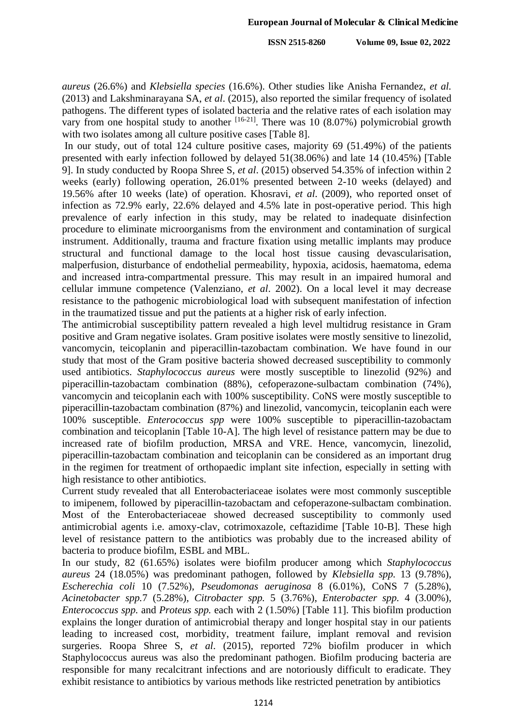*aureus* (26.6%) and *Klebsiella species* (16.6%). Other studies like Anisha Fernandez, *et al.* (2013) and Lakshminarayana SA, *et al*. (2015), also reported the similar frequency of isolated pathogens. The different types of isolated bacteria and the relative rates of each isolation may vary from one hospital study to another  $[16-21]$ . There was 10 (8.07%) polymicrobial growth with two isolates among all culture positive cases [Table 8].

In our study, out of total 124 culture positive cases, majority 69 (51.49%) of the patients presented with early infection followed by delayed 51(38.06%) and late 14 (10.45%) [Table 9]. In study conducted by Roopa Shree S, *et al*. (2015) observed 54.35% of infection within 2 weeks (early) following operation, 26.01% presented between 2-10 weeks (delayed) and 19.56% after 10 weeks (late) of operation. Khosravi, *et al*. (2009), who reported onset of infection as 72.9% early, 22.6% delayed and 4.5% late in post-operative period. This high prevalence of early infection in this study, may be related to inadequate disinfection procedure to eliminate microorganisms from the environment and contamination of surgical instrument. Additionally, trauma and fracture fixation using metallic implants may produce structural and functional damage to the local host tissue causing devascularisation, malperfusion, disturbance of endothelial permeability, hypoxia, acidosis, haematoma, edema and increased intra-compartmental pressure. This may result in an impaired humoral and cellular immune competence (Valenziano, *et al*. 2002). On a local level it may decrease resistance to the pathogenic microbiological load with subsequent manifestation of infection in the traumatized tissue and put the patients at a higher risk of early infection.

The antimicrobial susceptibility pattern revealed a high level multidrug resistance in Gram positive and Gram negative isolates. Gram positive isolates were mostly sensitive to linezolid, vancomycin, teicoplanin and piperacillin-tazobactam combination. We have found in our study that most of the Gram positive bacteria showed decreased susceptibility to commonly used antibiotics. *Staphylococcus aureus* were mostly susceptible to linezolid (92%) and piperacillin-tazobactam combination (88%), cefoperazone-sulbactam combination (74%), vancomycin and teicoplanin each with 100% susceptibility. CoNS were mostly susceptible to piperacillin-tazobactam combination (87%) and linezolid, vancomycin, teicoplanin each were 100% susceptible. *Enterococcus spp* were 100% susceptible to piperacillin-tazobactam combination and teicoplanin [Table 10-A]. The high level of resistance pattern may be due to increased rate of biofilm production, MRSA and VRE. Hence, vancomycin, linezolid, piperacillin-tazobactam combination and teicoplanin can be considered as an important drug in the regimen for treatment of orthopaedic implant site infection, especially in setting with high resistance to other antibiotics.

Current study revealed that all Enterobacteriaceae isolates were most commonly susceptible to imipenem, followed by piperacillin-tazobactam and cefoperazone-sulbactam combination. Most of the Enterobacteriaceae showed decreased susceptibility to commonly used antimicrobial agents i.e. amoxy-clav, cotrimoxazole, ceftazidime [Table 10-B]. These high level of resistance pattern to the antibiotics was probably due to the increased ability of bacteria to produce biofilm, ESBL and MBL.

In our study, 82 (61.65%) isolates were biofilm producer among which *Staphylococcus aureus* 24 (18.05%) was predominant pathogen, followed by *Klebsiella spp.* 13 (9.78%), *Escherechia coli* 10 (7.52%), *Pseudomonas aeruginosa* 8 (6.01%), CoNS 7 (5.28%), *Acinetobacter spp.*7 (5.28%), *Citrobacter spp.* 5 (3.76%), *Enterobacter spp.* 4 (3.00%), *Enterococcus spp.* and *Proteus spp.* each with 2 (1.50%) [Table 11]. This biofilm production explains the longer duration of antimicrobial therapy and longer hospital stay in our patients leading to increased cost, morbidity, treatment failure, implant removal and revision surgeries. Roopa Shree S, *et al*. (2015), reported 72% biofilm producer in which Staphylococcus aureus was also the predominant pathogen. Biofilm producing bacteria are responsible for many recalcitrant infections and are notoriously difficult to eradicate. They exhibit resistance to antibiotics by various methods like restricted penetration by antibiotics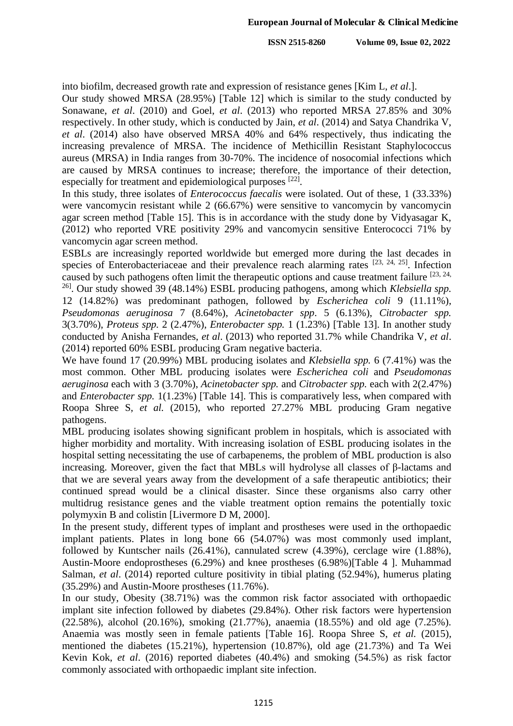into biofilm, decreased growth rate and expression of resistance genes [Kim L, *et al*.].

Our study showed MRSA (28.95%) [Table 12] which is similar to the study conducted by Sonawane, *et al*. (2010) and Goel, *et al*. (2013) who reported MRSA 27.85% and 30% respectively. In other study, which is conducted by Jain, *et al*. (2014) and Satya Chandrika V, *et al*. (2014) also have observed MRSA 40% and 64% respectively, thus indicating the increasing prevalence of MRSA. The incidence of Methicillin Resistant Staphylococcus aureus (MRSA) in India ranges from 30-70%. The incidence of nosocomial infections which are caused by MRSA continues to increase; therefore, the importance of their detection, especially for treatment and epidemiological purposes [22].

In this study, three isolates of *Enterococcus faecalis* were isolated. Out of these, 1 (33.33%) were vancomycin resistant while 2 (66.67%) were sensitive to vancomycin by vancomycin agar screen method [Table 15]. This is in accordance with the study done by Vidyasagar K, (2012) who reported VRE positivity 29% and vancomycin sensitive Enterococci 71% by vancomycin agar screen method.

ESBLs are increasingly reported worldwide but emerged more during the last decades in species of Enterobacteriaceae and their prevalence reach alarming rates [23, 24, 25]. Infection caused by such pathogens often limit the therapeutic options and cause treatment failure  $[23, 24, 24]$ 

26]. Our study showed 39 (48.14%) ESBL producing pathogens, among which *Klebsiella spp.* 12 (14.82%) was predominant pathogen, followed by *Escherichea coli* 9 (11.11%), *Pseudomonas aeruginosa* 7 (8.64%), *Acinetobacter spp*. 5 (6.13%), *Citrobacter spp.* 3(3.70%), *Proteus spp.* 2 (2.47%), *Enterobacter spp.* 1 (1.23%) [Table 13]. In another study conducted by Anisha Fernandes, *et al*. (2013) who reported 31.7% while Chandrika V, *et al*. (2014) reported 60% ESBL producing Gram negative bacteria.

We have found 17 (20.99%) MBL producing isolates and *Klebsiella spp.* 6 (7.41%) was the most common. Other MBL producing isolates were *Escherichea coli* and *Pseudomonas aeruginosa* each with 3 (3.70%), *Acinetobacter spp.* and *Citrobacter spp.* each with 2(2.47%) and *Enterobacter spp.* 1(1.23%) [Table 14]. This is comparatively less, when compared with Roopa Shree S, *et al.* (2015), who reported 27.27% MBL producing Gram negative pathogens.

MBL producing isolates showing significant problem in hospitals, which is associated with higher morbidity and mortality. With increasing isolation of ESBL producing isolates in the hospital setting necessitating the use of carbapenems, the problem of MBL production is also increasing. Moreover, given the fact that MBLs will hydrolyse all classes of β-lactams and that we are several years away from the development of a safe therapeutic antibiotics; their continued spread would be a clinical disaster. Since these organisms also carry other multidrug resistance genes and the viable treatment option remains the potentially toxic polymyxin B and colistin [Livermore D M, 2000].

In the present study, different types of implant and prostheses were used in the orthopaedic implant patients. Plates in long bone 66 (54.07%) was most commonly used implant, followed by Kuntscher nails (26.41%), cannulated screw (4.39%), cerclage wire (1.88%), Austin-Moore endoprostheses (6.29%) and knee prostheses (6.98%)[Table 4 ]. Muhammad Salman, *et al*. (2014) reported culture positivity in tibial plating (52.94%), humerus plating (35.29%) and Austin-Moore prostheses (11.76%).

In our study, Obesity (38.71%) was the common risk factor associated with orthopaedic implant site infection followed by diabetes (29.84%). Other risk factors were hypertension (22.58%), alcohol (20.16%), smoking (21.77%), anaemia (18.55%) and old age (7.25%). Anaemia was mostly seen in female patients [Table 16]. Roopa Shree S, *et al.* (2015), mentioned the diabetes (15.21%), hypertension (10.87%), old age (21.73%) and Ta Wei Kevin Kok, *et al*. (2016) reported diabetes (40.4%) and smoking (54.5%) as risk factor commonly associated with orthopaedic implant site infection.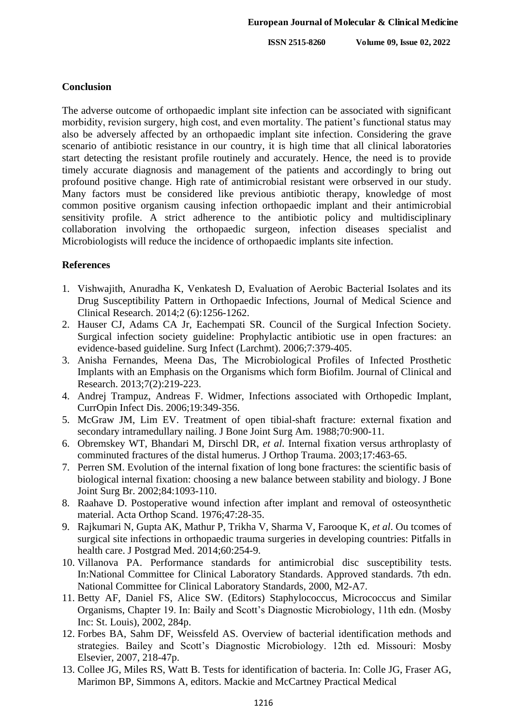#### **Conclusion**

The adverse outcome of orthopaedic implant site infection can be associated with significant morbidity, revision surgery, high cost, and even mortality. The patient's functional status may also be adversely affected by an orthopaedic implant site infection. Considering the grave scenario of antibiotic resistance in our country, it is high time that all clinical laboratories start detecting the resistant profile routinely and accurately. Hence, the need is to provide timely accurate diagnosis and management of the patients and accordingly to bring out profound positive change. High rate of antimicrobial resistant were orbserved in our study. Many factors must be considered like previous antibiotic therapy, knowledge of most common positive organism causing infection orthopaedic implant and their antimicrobial sensitivity profile. A strict adherence to the antibiotic policy and multidisciplinary collaboration involving the orthopaedic surgeon, infection diseases specialist and Microbiologists will reduce the incidence of orthopaedic implants site infection.

## **References**

- 1. Vishwajith, Anuradha K, Venkatesh D, Evaluation of Aerobic Bacterial Isolates and its Drug Susceptibility Pattern in Orthopaedic Infections, Journal of Medical Science and Clinical Research. 2014;2 (6):1256-1262.
- 2. Hauser CJ, Adams CA Jr, Eachempati SR. Council of the Surgical Infection Society. Surgical infection society guideline: Prophylactic antibiotic use in open fractures: an evidence-based guideline. Surg Infect (Larchmt). 2006;7:379-405.
- 3. Anisha Fernandes, Meena Das, The Microbiological Profiles of Infected Prosthetic Implants with an Emphasis on the Organisms which form Biofilm. Journal of Clinical and Research. 2013;7(2):219-223.
- 4. Andrej Trampuz, Andreas F. Widmer, Infections associated with Orthopedic Implant, CurrOpin Infect Dis. 2006;19:349-356.
- 5. McGraw JM, Lim EV. Treatment of open tibial-shaft fracture: external fixation and secondary intramedullary nailing. J Bone Joint Surg Am. 1988;70:900-11.
- 6. Obremskey WT, Bhandari M, Dirschl DR, *et al*. Internal fixation versus arthroplasty of comminuted fractures of the distal humerus. J Orthop Trauma. 2003;17:463-65.
- 7. Perren SM. Evolution of the internal fixation of long bone fractures: the scientific basis of biological internal fixation: choosing a new balance between stability and biology. J Bone Joint Surg Br. 2002;84:1093-110.
- 8. Raahave D. Postoperative wound infection after implant and removal of osteosynthetic material. Acta Orthop Scand. 1976;47:28-35.
- 9. Rajkumari N, Gupta AK, Mathur P, Trikha V, Sharma V, Farooque K, *et al*. Ou tcomes of surgical site infections in orthopaedic trauma surgeries in developing countries: Pitfalls in health care. J Postgrad Med. 2014;60:254-9.
- 10. Villanova PA. Performance standards for antimicrobial disc susceptibility tests. In:National Committee for Clinical Laboratory Standards. Approved standards. 7th edn. National Committee for Clinical Laboratory Standards, 2000, M2-A7.
- 11. Betty AF, Daniel FS, Alice SW. (Editors) Staphylococcus, Micrococcus and Similar Organisms, Chapter 19. In: Baily and Scott's Diagnostic Microbiology, 11th edn. (Mosby Inc: St. Louis), 2002, 284p.
- 12. Forbes BA, Sahm DF, Weissfeld AS. Overview of bacterial identification methods and strategies. Bailey and Scott's Diagnostic Microbiology. 12th ed. Missouri: Mosby Elsevier, 2007, 218-47p.
- 13. Collee JG, Miles RS, Watt B. Tests for identification of bacteria. In: Colle JG, Fraser AG, Marimon BP, Simmons A, editors. Mackie and McCartney Practical Medical